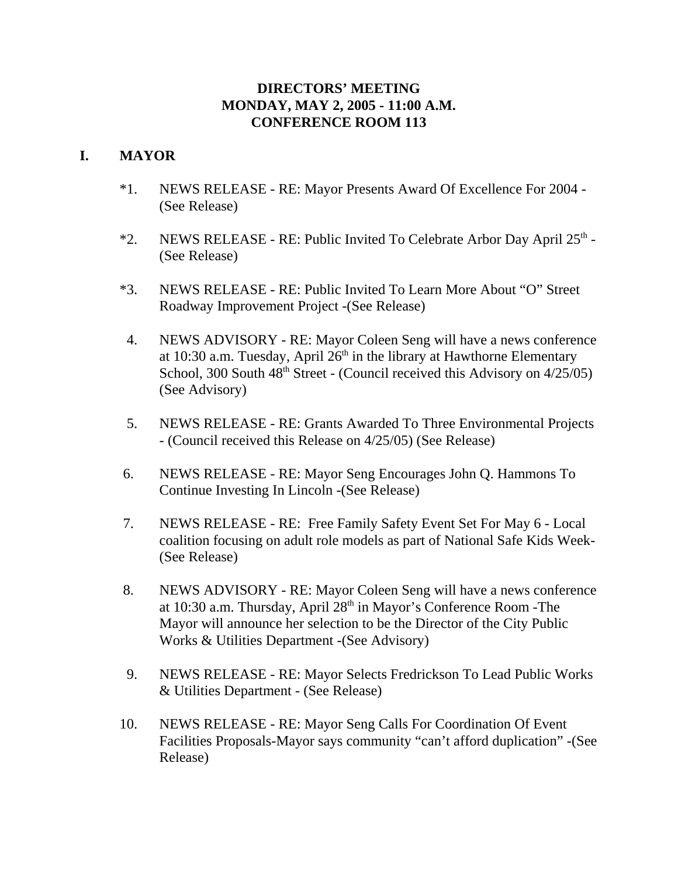## **DIRECTORS' MEETING MONDAY, MAY 2, 2005 - 11:00 A.M. CONFERENCE ROOM 113**

## **I. MAYOR**

- \*1. NEWS RELEASE RE: Mayor Presents Award Of Excellence For 2004 (See Release)
- \*2. NEWS RELEASE RE: Public Invited To Celebrate Arbor Day April 25<sup>th</sup> -(See Release)
- \*3. NEWS RELEASE RE: Public Invited To Learn More About "O" Street Roadway Improvement Project -(See Release)
- 4. NEWS ADVISORY RE: Mayor Coleen Seng will have a news conference at 10:30 a.m. Tuesday, April  $26<sup>th</sup>$  in the library at Hawthorne Elementary School, 300 South  $48<sup>th</sup>$  Street - (Council received this Advisory on  $4/25/05$ ) (See Advisory)
- 5. NEWS RELEASE RE: Grants Awarded To Three Environmental Projects - (Council received this Release on 4/25/05) (See Release)
- 6. NEWS RELEASE RE: Mayor Seng Encourages John Q. Hammons To Continue Investing In Lincoln -(See Release)
- 7. NEWS RELEASE RE: Free Family Safety Event Set For May 6 Local coalition focusing on adult role models as part of National Safe Kids Week- (See Release)
- 8. NEWS ADVISORY RE: Mayor Coleen Seng will have a news conference at 10:30 a.m. Thursday, April 28<sup>th</sup> in Mayor's Conference Room -The Mayor will announce her selection to be the Director of the City Public Works & Utilities Department -(See Advisory)
- 9. NEWS RELEASE RE: Mayor Selects Fredrickson To Lead Public Works & Utilities Department - (See Release)
- 10. NEWS RELEASE RE: Mayor Seng Calls For Coordination Of Event Facilities Proposals-Mayor says community "can't afford duplication" -(See Release)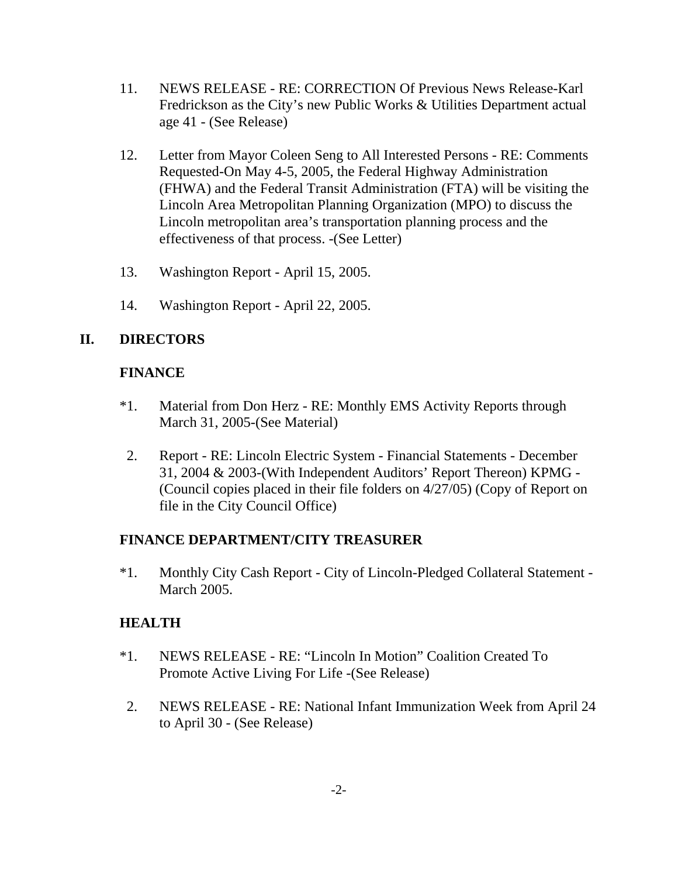- 11. NEWS RELEASE RE: CORRECTION Of Previous News Release-Karl Fredrickson as the City's new Public Works & Utilities Department actual age 41 - (See Release)
- 12. Letter from Mayor Coleen Seng to All Interested Persons RE: Comments Requested-On May 4-5, 2005, the Federal Highway Administration (FHWA) and the Federal Transit Administration (FTA) will be visiting the Lincoln Area Metropolitan Planning Organization (MPO) to discuss the Lincoln metropolitan area's transportation planning process and the effectiveness of that process. -(See Letter)
- 13. Washington Report April 15, 2005.
- 14. Washington Report April 22, 2005.

## **II. DIRECTORS**

### **FINANCE**

- \*1. Material from Don Herz RE: Monthly EMS Activity Reports through March 31, 2005-(See Material)
- 2. Report RE: Lincoln Electric System Financial Statements December 31, 2004 & 2003-(With Independent Auditors' Report Thereon) KPMG - (Council copies placed in their file folders on 4/27/05) (Copy of Report on file in the City Council Office)

### **FINANCE DEPARTMENT/CITY TREASURER**

\*1. Monthly City Cash Report - City of Lincoln-Pledged Collateral Statement - March 2005.

### **HEALTH**

- \*1. NEWS RELEASE RE: "Lincoln In Motion" Coalition Created To Promote Active Living For Life -(See Release)
- 2. NEWS RELEASE RE: National Infant Immunization Week from April 24 to April 30 - (See Release)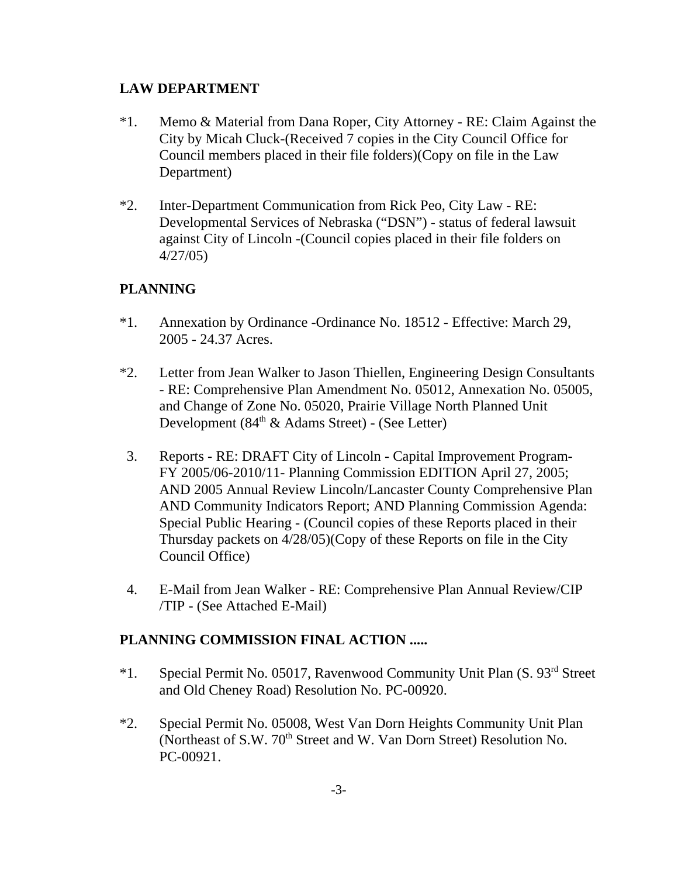## **LAW DEPARTMENT**

- \*1. Memo & Material from Dana Roper, City Attorney RE: Claim Against the City by Micah Cluck-(Received 7 copies in the City Council Office for Council members placed in their file folders)(Copy on file in the Law Department)
- \*2. Inter-Department Communication from Rick Peo, City Law RE: Developmental Services of Nebraska ("DSN") - status of federal lawsuit against City of Lincoln -(Council copies placed in their file folders on 4/27/05)

# **PLANNING**

- \*1. Annexation by Ordinance -Ordinance No. 18512 Effective: March 29, 2005 - 24.37 Acres.
- \*2. Letter from Jean Walker to Jason Thiellen, Engineering Design Consultants - RE: Comprehensive Plan Amendment No. 05012, Annexation No. 05005, and Change of Zone No. 05020, Prairie Village North Planned Unit Development (84th & Adams Street) - (See Letter)
- 3. Reports RE: DRAFT City of Lincoln Capital Improvement Program-FY 2005/06-2010/11- Planning Commission EDITION April 27, 2005; AND 2005 Annual Review Lincoln/Lancaster County Comprehensive Plan AND Community Indicators Report; AND Planning Commission Agenda: Special Public Hearing - (Council copies of these Reports placed in their Thursday packets on 4/28/05)(Copy of these Reports on file in the City Council Office)
- 4. E-Mail from Jean Walker RE: Comprehensive Plan Annual Review/CIP /TIP - (See Attached E-Mail)

## **PLANNING COMMISSION FINAL ACTION .....**

- \*1. Special Permit No. 05017, Ravenwood Community Unit Plan (S. 93rd Street and Old Cheney Road) Resolution No. PC-00920.
- \*2. Special Permit No. 05008, West Van Dorn Heights Community Unit Plan (Northeast of S.W. 70<sup>th</sup> Street and W. Van Dorn Street) Resolution No. PC-00921.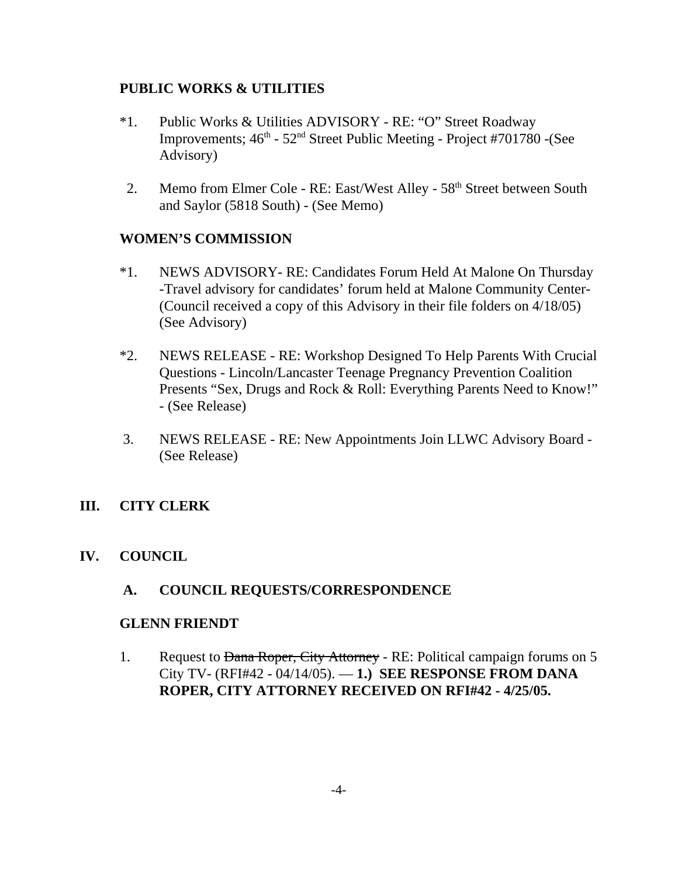## **PUBLIC WORKS & UTILITIES**

- \*1. Public Works & Utilities ADVISORY RE: "O" Street Roadway Improvements;  $46^{\text{th}}$  -  $52^{\text{nd}}$  Street Public Meeting - Project #701780 -(See Advisory)
- 2. Memo from Elmer Cole RE: East/West Alley 58<sup>th</sup> Street between South and Saylor (5818 South) - (See Memo)

## **WOMEN'S COMMISSION**

- \*1. NEWS ADVISORY- RE: Candidates Forum Held At Malone On Thursday -Travel advisory for candidates' forum held at Malone Community Center- (Council received a copy of this Advisory in their file folders on 4/18/05) (See Advisory)
- \*2. NEWS RELEASE RE: Workshop Designed To Help Parents With Crucial Questions - Lincoln/Lancaster Teenage Pregnancy Prevention Coalition Presents "Sex, Drugs and Rock & Roll: Everything Parents Need to Know!" - (See Release)
- 3. NEWS RELEASE RE: New Appointments Join LLWC Advisory Board (See Release)

## **III. CITY CLERK**

## **IV. COUNCIL**

## **A. COUNCIL REQUESTS/CORRESPONDENCE**

### **GLENN FRIENDT**

1. Request to Dana Roper, City Attorney - RE: Political campaign forums on 5 City TV- (RFI#42 - 04/14/05). — **1.) SEE RESPONSE FROM DANA ROPER, CITY ATTORNEY RECEIVED ON RFI#42 - 4/25/05.**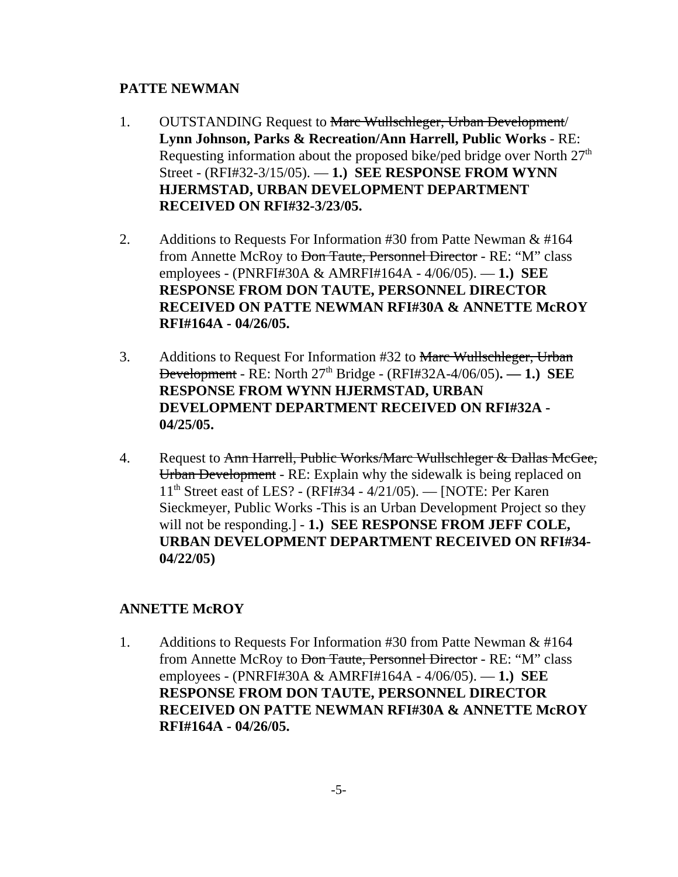### **PATTE NEWMAN**

- 1. OUTSTANDING Request to Marc Wullschleger, Urban Development/ **Lynn Johnson, Parks & Recreation/Ann Harrell, Public Works** - RE: Requesting information about the proposed bike/ped bridge over North  $27<sup>th</sup>$ Street - (RFI#32-3/15/05). — **1.) SEE RESPONSE FROM WYNN HJERMSTAD, URBAN DEVELOPMENT DEPARTMENT RECEIVED ON RFI#32-3/23/05.**
- 2. Additions to Requests For Information #30 from Patte Newman & #164 from Annette McRoy to <del>Don Taute, Personnel Director</del> - RE: "M" class employees - (PNRFI#30A & AMRFI#164A - 4/06/05). — **1.) SEE RESPONSE FROM DON TAUTE, PERSONNEL DIRECTOR RECEIVED ON PATTE NEWMAN RFI#30A & ANNETTE McROY RFI#164A - 04/26/05.**
- 3. Additions to Request For Information #32 to Marc Wullschleger, Urban Development - RE: North 27th Bridge - (RFI#32A-4/06/05)**. — 1.) SEE RESPONSE FROM WYNN HJERMSTAD, URBAN DEVELOPMENT DEPARTMENT RECEIVED ON RFI#32A - 04/25/05.**
- 4. Request to Ann Harrell, Public Works/Marc Wullschleger & Dallas McGee, Urban Development - RE: Explain why the sidewalk is being replaced on 11th Street east of LES? - (RFI#34 - 4/21/05). — [NOTE: Per Karen Sieckmeyer, Public Works -This is an Urban Development Project so they will not be responding.] - **1.) SEE RESPONSE FROM JEFF COLE, URBAN DEVELOPMENT DEPARTMENT RECEIVED ON RFI#34- 04/22/05)**

## **ANNETTE McROY**

1. Additions to Requests For Information #30 from Patte Newman & #164 from Annette McRoy to Don Taute, Personnel Director - RE: "M" class employees - (PNRFI#30A & AMRFI#164A - 4/06/05). — **1.) SEE RESPONSE FROM DON TAUTE, PERSONNEL DIRECTOR RECEIVED ON PATTE NEWMAN RFI#30A & ANNETTE McROY RFI#164A - 04/26/05.**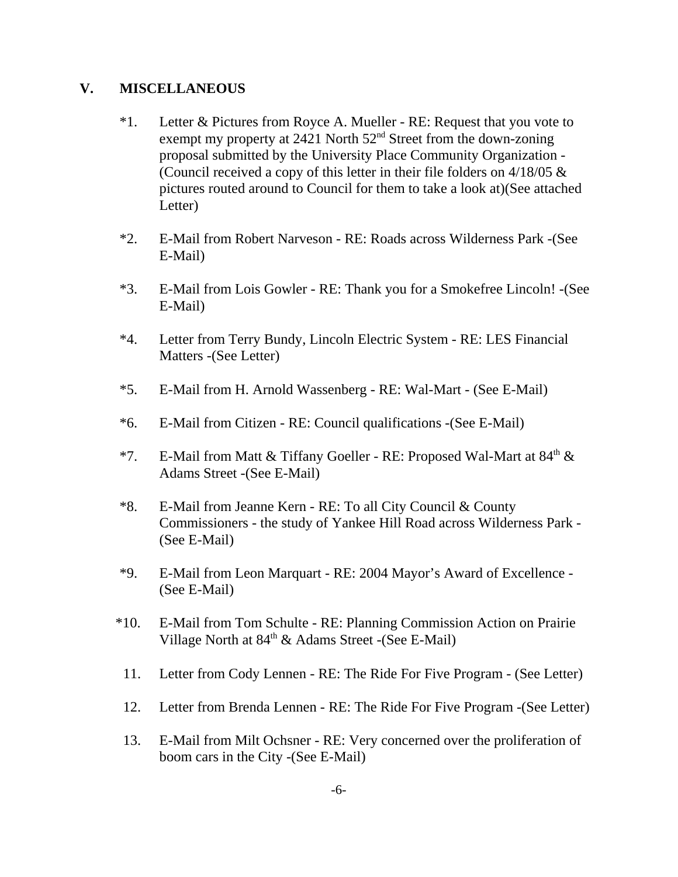### **V. MISCELLANEOUS**

- \*1. Letter & Pictures from Royce A. Mueller RE: Request that you vote to exempt my property at 2421 North 52nd Street from the down-zoning proposal submitted by the University Place Community Organization - (Council received a copy of this letter in their file folders on  $4/18/05 \&$ pictures routed around to Council for them to take a look at)(See attached Letter)
- \*2. E-Mail from Robert Narveson RE: Roads across Wilderness Park -(See E-Mail)
- \*3. E-Mail from Lois Gowler RE: Thank you for a Smokefree Lincoln! -(See E-Mail)
- \*4. Letter from Terry Bundy, Lincoln Electric System RE: LES Financial Matters -(See Letter)
- \*5. E-Mail from H. Arnold Wassenberg RE: Wal-Mart (See E-Mail)
- \*6. E-Mail from Citizen RE: Council qualifications -(See E-Mail)
- \*7. E-Mail from Matt & Tiffany Goeller RE: Proposed Wal-Mart at 84<sup>th</sup> & Adams Street -(See E-Mail)
- \*8. E-Mail from Jeanne Kern RE: To all City Council & County Commissioners - the study of Yankee Hill Road across Wilderness Park - (See E-Mail)
- \*9. E-Mail from Leon Marquart RE: 2004 Mayor's Award of Excellence (See E-Mail)
- \*10. E-Mail from Tom Schulte RE: Planning Commission Action on Prairie Village North at  $84<sup>th</sup>$  & Adams Street -(See E-Mail)
- 11. Letter from Cody Lennen RE: The Ride For Five Program (See Letter)
- 12. Letter from Brenda Lennen RE: The Ride For Five Program -(See Letter)
- 13. E-Mail from Milt Ochsner RE: Very concerned over the proliferation of boom cars in the City -(See E-Mail)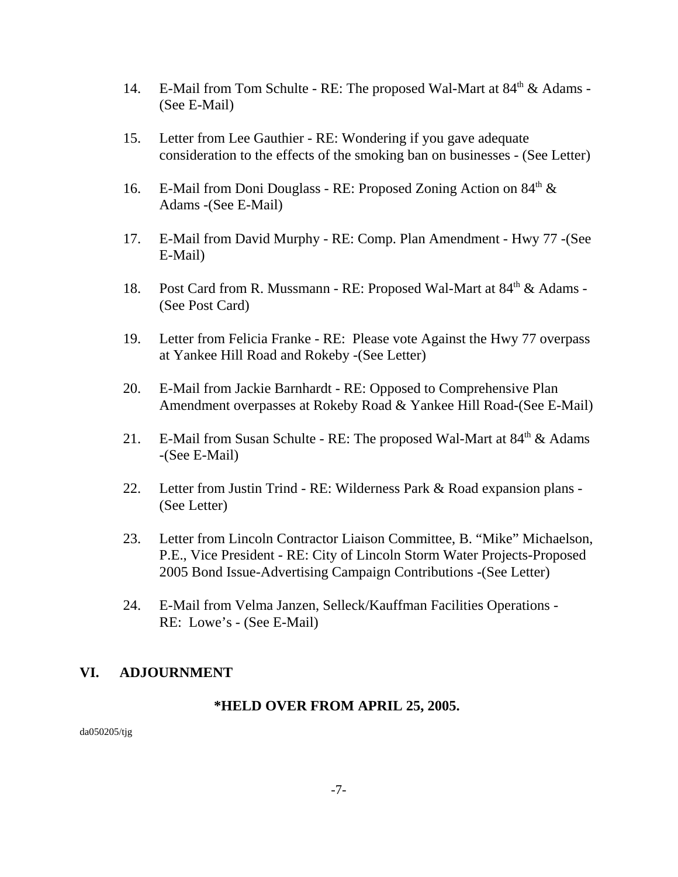- 14. E-Mail from Tom Schulte RE: The proposed Wal-Mart at  $84<sup>th</sup>$  & Adams -(See E-Mail)
- 15. Letter from Lee Gauthier RE: Wondering if you gave adequate consideration to the effects of the smoking ban on businesses - (See Letter)
- 16. E-Mail from Doni Douglass RE: Proposed Zoning Action on  $84<sup>th</sup> \&$ Adams -(See E-Mail)
- 17. E-Mail from David Murphy RE: Comp. Plan Amendment Hwy 77 -(See E-Mail)
- 18. Post Card from R. Mussmann RE: Proposed Wal-Mart at 84<sup>th</sup> & Adams -(See Post Card)
- 19. Letter from Felicia Franke RE: Please vote Against the Hwy 77 overpass at Yankee Hill Road and Rokeby -(See Letter)
- 20. E-Mail from Jackie Barnhardt RE: Opposed to Comprehensive Plan Amendment overpasses at Rokeby Road & Yankee Hill Road-(See E-Mail)
- 21. E-Mail from Susan Schulte RE: The proposed Wal-Mart at  $84<sup>th</sup>$  & Adams -(See E-Mail)
- 22. Letter from Justin Trind RE: Wilderness Park & Road expansion plans (See Letter)
- 23. Letter from Lincoln Contractor Liaison Committee, B. "Mike" Michaelson, P.E., Vice President - RE: City of Lincoln Storm Water Projects-Proposed 2005 Bond Issue-Advertising Campaign Contributions -(See Letter)
- 24. E-Mail from Velma Janzen, Selleck/Kauffman Facilities Operations RE: Lowe's - (See E-Mail)

## **VI. ADJOURNMENT**

### **\*HELD OVER FROM APRIL 25, 2005.**

da050205/tjg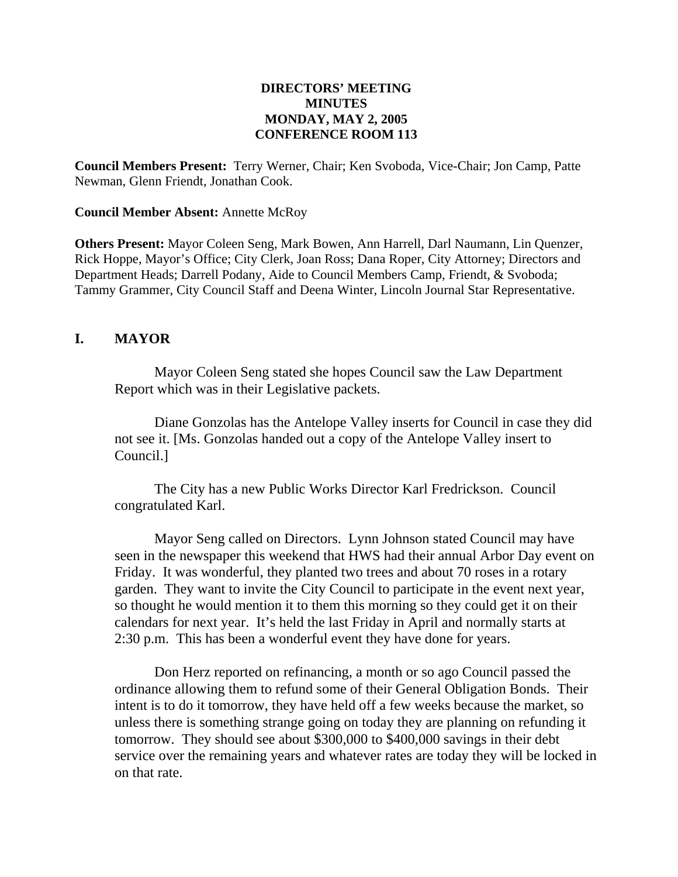### **DIRECTORS' MEETING MINUTES MONDAY, MAY 2, 2005 CONFERENCE ROOM 113**

**Council Members Present:** Terry Werner, Chair; Ken Svoboda, Vice-Chair; Jon Camp, Patte Newman, Glenn Friendt, Jonathan Cook.

### **Council Member Absent:** Annette McRoy

**Others Present:** Mayor Coleen Seng, Mark Bowen, Ann Harrell, Darl Naumann, Lin Quenzer, Rick Hoppe, Mayor's Office; City Clerk, Joan Ross; Dana Roper, City Attorney; Directors and Department Heads; Darrell Podany, Aide to Council Members Camp, Friendt, & Svoboda; Tammy Grammer, City Council Staff and Deena Winter, Lincoln Journal Star Representative.

### **I. MAYOR**

Mayor Coleen Seng stated she hopes Council saw the Law Department Report which was in their Legislative packets.

Diane Gonzolas has the Antelope Valley inserts for Council in case they did not see it. [Ms. Gonzolas handed out a copy of the Antelope Valley insert to Council.]

The City has a new Public Works Director Karl Fredrickson. Council congratulated Karl.

Mayor Seng called on Directors. Lynn Johnson stated Council may have seen in the newspaper this weekend that HWS had their annual Arbor Day event on Friday. It was wonderful, they planted two trees and about 70 roses in a rotary garden. They want to invite the City Council to participate in the event next year, so thought he would mention it to them this morning so they could get it on their calendars for next year. It's held the last Friday in April and normally starts at 2:30 p.m. This has been a wonderful event they have done for years.

Don Herz reported on refinancing, a month or so ago Council passed the ordinance allowing them to refund some of their General Obligation Bonds. Their intent is to do it tomorrow, they have held off a few weeks because the market, so unless there is something strange going on today they are planning on refunding it tomorrow. They should see about \$300,000 to \$400,000 savings in their debt service over the remaining years and whatever rates are today they will be locked in on that rate.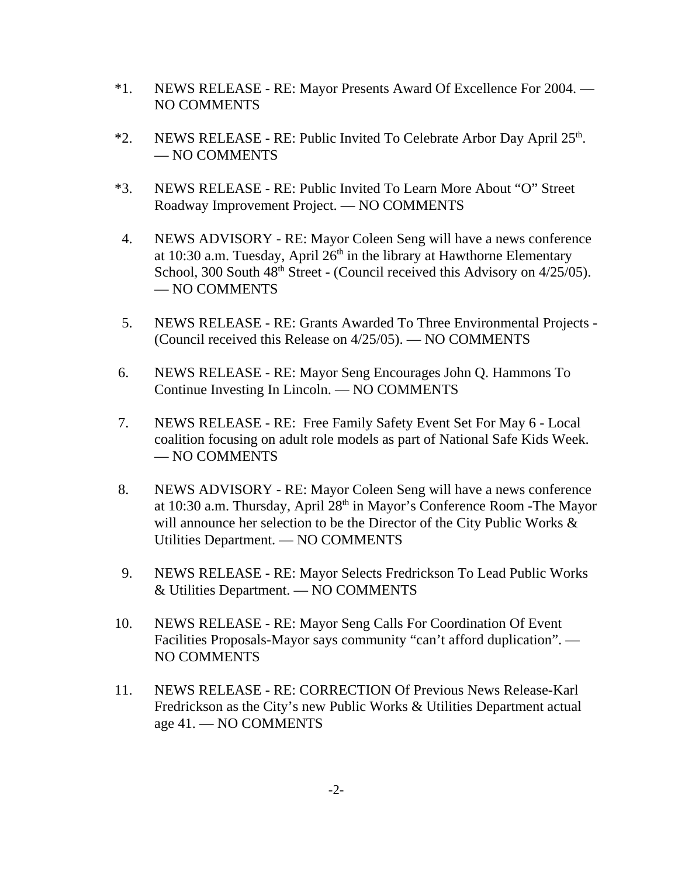- \*1. NEWS RELEASE RE: Mayor Presents Award Of Excellence For 2004. NO COMMENTS
- \*2. NEWS RELEASE RE: Public Invited To Celebrate Arbor Day April  $25<sup>th</sup>$ . — NO COMMENTS
- \*3. NEWS RELEASE RE: Public Invited To Learn More About "O" Street Roadway Improvement Project. — NO COMMENTS
- 4. NEWS ADVISORY RE: Mayor Coleen Seng will have a news conference at 10:30 a.m. Tuesday, April  $26<sup>th</sup>$  in the library at Hawthorne Elementary School, 300 South 48<sup>th</sup> Street - (Council received this Advisory on 4/25/05). — NO COMMENTS
- 5. NEWS RELEASE RE: Grants Awarded To Three Environmental Projects (Council received this Release on 4/25/05). — NO COMMENTS
- 6. NEWS RELEASE RE: Mayor Seng Encourages John Q. Hammons To Continue Investing In Lincoln. — NO COMMENTS
- 7. NEWS RELEASE RE: Free Family Safety Event Set For May 6 Local coalition focusing on adult role models as part of National Safe Kids Week. — NO COMMENTS
- 8. NEWS ADVISORY RE: Mayor Coleen Seng will have a news conference at 10:30 a.m. Thursday, April 28th in Mayor's Conference Room -The Mayor will announce her selection to be the Director of the City Public Works  $\&$ Utilities Department. — NO COMMENTS
- 9. NEWS RELEASE RE: Mayor Selects Fredrickson To Lead Public Works & Utilities Department. — NO COMMENTS
- 10. NEWS RELEASE RE: Mayor Seng Calls For Coordination Of Event Facilities Proposals-Mayor says community "can't afford duplication". — NO COMMENTS
- 11. NEWS RELEASE RE: CORRECTION Of Previous News Release-Karl Fredrickson as the City's new Public Works & Utilities Department actual age 41. — NO COMMENTS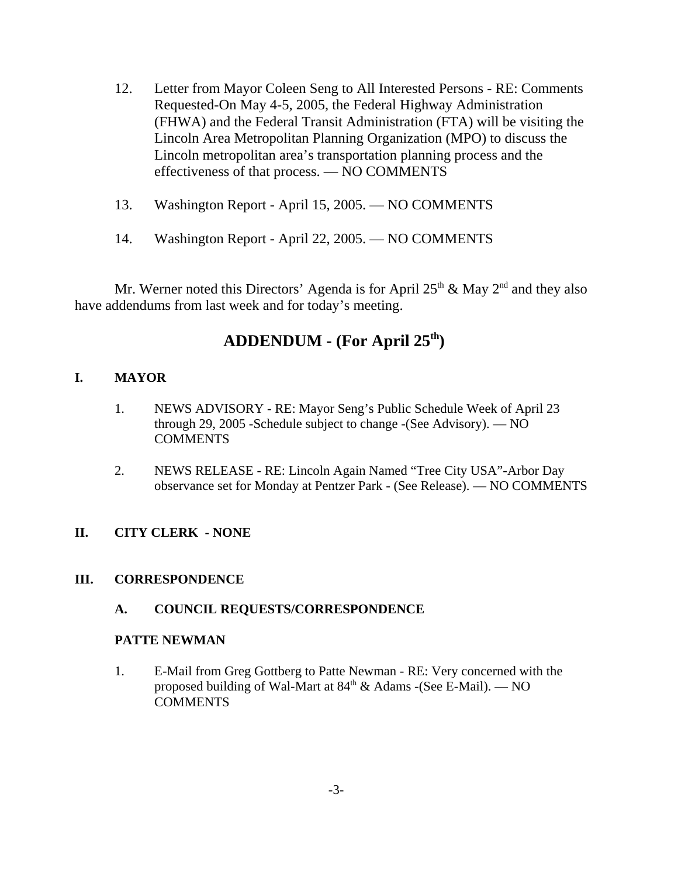- 12. Letter from Mayor Coleen Seng to All Interested Persons RE: Comments Requested-On May 4-5, 2005, the Federal Highway Administration (FHWA) and the Federal Transit Administration (FTA) will be visiting the Lincoln Area Metropolitan Planning Organization (MPO) to discuss the Lincoln metropolitan area's transportation planning process and the effectiveness of that process. — NO COMMENTS
- 13. Washington Report April 15, 2005. NO COMMENTS
- 14. Washington Report April 22, 2005. NO COMMENTS

Mr. Werner noted this Directors' Agenda is for April  $25<sup>th</sup>$  & May  $2<sup>nd</sup>$  and they also have addendums from last week and for today's meeting.

# **ADDENDUM - (For April 25th)**

### **I. MAYOR**

- 1. NEWS ADVISORY RE: Mayor Seng's Public Schedule Week of April 23 through 29, 2005 -Schedule subject to change -(See Advisory). — NO **COMMENTS**
- 2. NEWS RELEASE RE: Lincoln Again Named "Tree City USA"-Arbor Day observance set for Monday at Pentzer Park - (See Release). — NO COMMENTS

### **II. CITY CLERK - NONE**

### **III. CORRESPONDENCE**

### **A. COUNCIL REQUESTS/CORRESPONDENCE**

### **PATTE NEWMAN**

1. E-Mail from Greg Gottberg to Patte Newman - RE: Very concerned with the proposed building of Wal-Mart at  $84<sup>th</sup>$  & Adams -(See E-Mail). — NO COMMENTS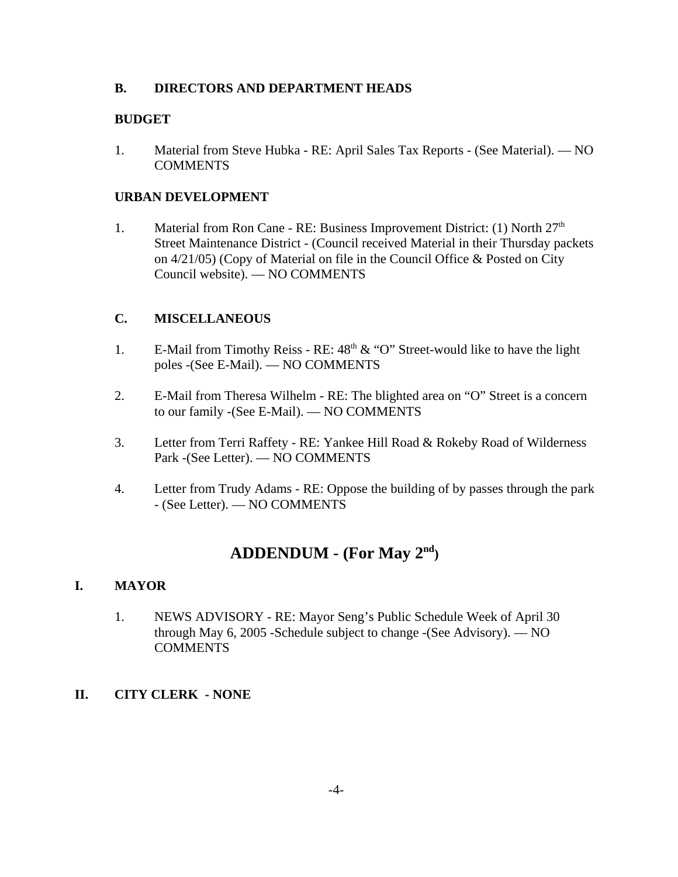### **B. DIRECTORS AND DEPARTMENT HEADS**

### **BUDGET**

1. Material from Steve Hubka - RE: April Sales Tax Reports - (See Material). — NO **COMMENTS** 

### **URBAN DEVELOPMENT**

1. Material from Ron Cane - RE: Business Improvement District: (1) North  $27<sup>th</sup>$ Street Maintenance District - (Council received Material in their Thursday packets on 4/21/05) (Copy of Material on file in the Council Office & Posted on City Council website). — NO COMMENTS

### **C. MISCELLANEOUS**

- 1. E-Mail from Timothy Reiss RE:  $48<sup>th</sup> \& ^\circ$  "O" Street-would like to have the light poles -(See E-Mail). — NO COMMENTS
- 2. E-Mail from Theresa Wilhelm RE: The blighted area on "O" Street is a concern to our family -(See E-Mail). — NO COMMENTS
- 3. Letter from Terri Raffety RE: Yankee Hill Road & Rokeby Road of Wilderness Park -(See Letter). — NO COMMENTS
- 4. Letter from Trudy Adams RE: Oppose the building of by passes through the park - (See Letter). — NO COMMENTS

# **ADDENDUM - (For May 2nd)**

### **I. MAYOR**

1. NEWS ADVISORY - RE: Mayor Seng's Public Schedule Week of April 30 through May 6, 2005 -Schedule subject to change -(See Advisory). — NO **COMMENTS** 

### **II. CITY CLERK - NONE**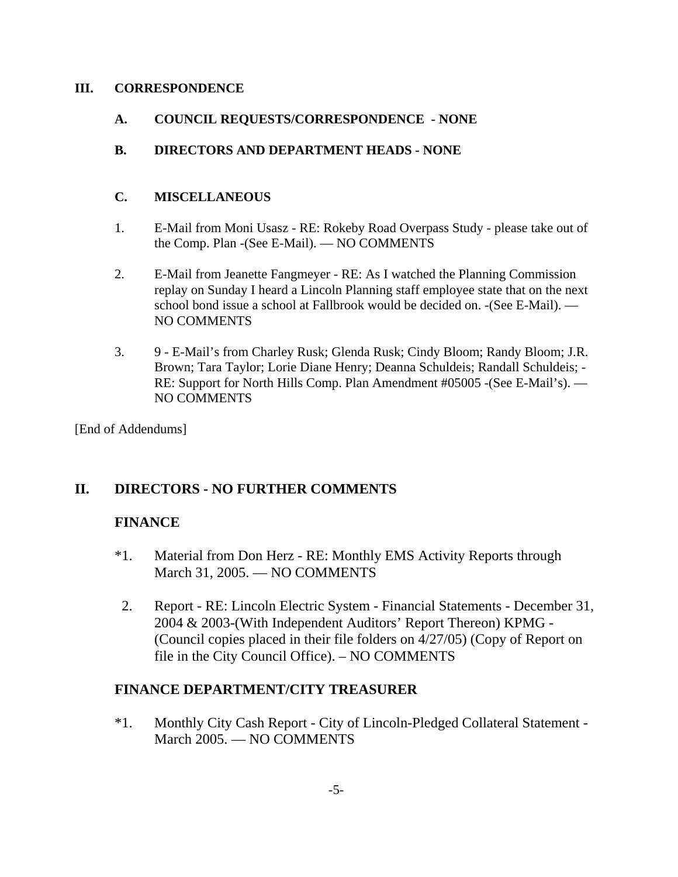### **III. CORRESPONDENCE**

**A. COUNCIL REQUESTS/CORRESPONDENCE - NONE**

## **B. DIRECTORS AND DEPARTMENT HEADS - NONE**

### **C. MISCELLANEOUS**

- 1. E-Mail from Moni Usasz RE: Rokeby Road Overpass Study please take out of the Comp. Plan -(See E-Mail). — NO COMMENTS
- 2. E-Mail from Jeanette Fangmeyer RE: As I watched the Planning Commission replay on Sunday I heard a Lincoln Planning staff employee state that on the next school bond issue a school at Fallbrook would be decided on. -(See E-Mail). — NO COMMENTS
- 3. 9 E-Mail's from Charley Rusk; Glenda Rusk; Cindy Bloom; Randy Bloom; J.R. Brown; Tara Taylor; Lorie Diane Henry; Deanna Schuldeis; Randall Schuldeis; -RE: Support for North Hills Comp. Plan Amendment #05005 -(See E-Mail's). — NO COMMENTS

[End of Addendums]

# **II. DIRECTORS - NO FURTHER COMMENTS**

## **FINANCE**

- \*1. Material from Don Herz RE: Monthly EMS Activity Reports through March 31, 2005. — NO COMMENTS
- 2. Report RE: Lincoln Electric System Financial Statements December 31, 2004 & 2003-(With Independent Auditors' Report Thereon) KPMG - (Council copies placed in their file folders on 4/27/05) (Copy of Report on file in the City Council Office). – NO COMMENTS

## **FINANCE DEPARTMENT/CITY TREASURER**

\*1. Monthly City Cash Report - City of Lincoln-Pledged Collateral Statement - March 2005. — NO COMMENTS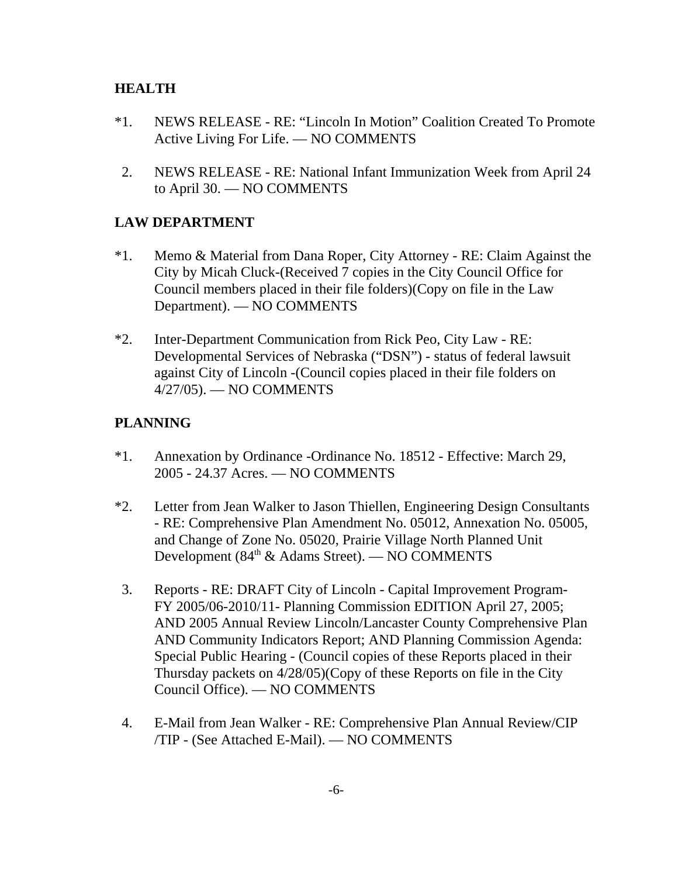## **HEALTH**

- \*1. NEWS RELEASE RE: "Lincoln In Motion" Coalition Created To Promote Active Living For Life. — NO COMMENTS
- 2. NEWS RELEASE RE: National Infant Immunization Week from April 24 to April 30. — NO COMMENTS

## **LAW DEPARTMENT**

- \*1. Memo & Material from Dana Roper, City Attorney RE: Claim Against the City by Micah Cluck-(Received 7 copies in the City Council Office for Council members placed in their file folders)(Copy on file in the Law Department). — NO COMMENTS
- \*2. Inter-Department Communication from Rick Peo, City Law RE: Developmental Services of Nebraska ("DSN") - status of federal lawsuit against City of Lincoln -(Council copies placed in their file folders on 4/27/05). — NO COMMENTS

# **PLANNING**

- \*1. Annexation by Ordinance -Ordinance No. 18512 Effective: March 29, 2005 - 24.37 Acres. — NO COMMENTS
- \*2. Letter from Jean Walker to Jason Thiellen, Engineering Design Consultants - RE: Comprehensive Plan Amendment No. 05012, Annexation No. 05005, and Change of Zone No. 05020, Prairie Village North Planned Unit Development (84th & Adams Street). — NO COMMENTS
- 3. Reports RE: DRAFT City of Lincoln Capital Improvement Program-FY 2005/06-2010/11- Planning Commission EDITION April 27, 2005; AND 2005 Annual Review Lincoln/Lancaster County Comprehensive Plan AND Community Indicators Report; AND Planning Commission Agenda: Special Public Hearing - (Council copies of these Reports placed in their Thursday packets on 4/28/05)(Copy of these Reports on file in the City Council Office). — NO COMMENTS
- 4. E-Mail from Jean Walker RE: Comprehensive Plan Annual Review/CIP /TIP - (See Attached E-Mail). — NO COMMENTS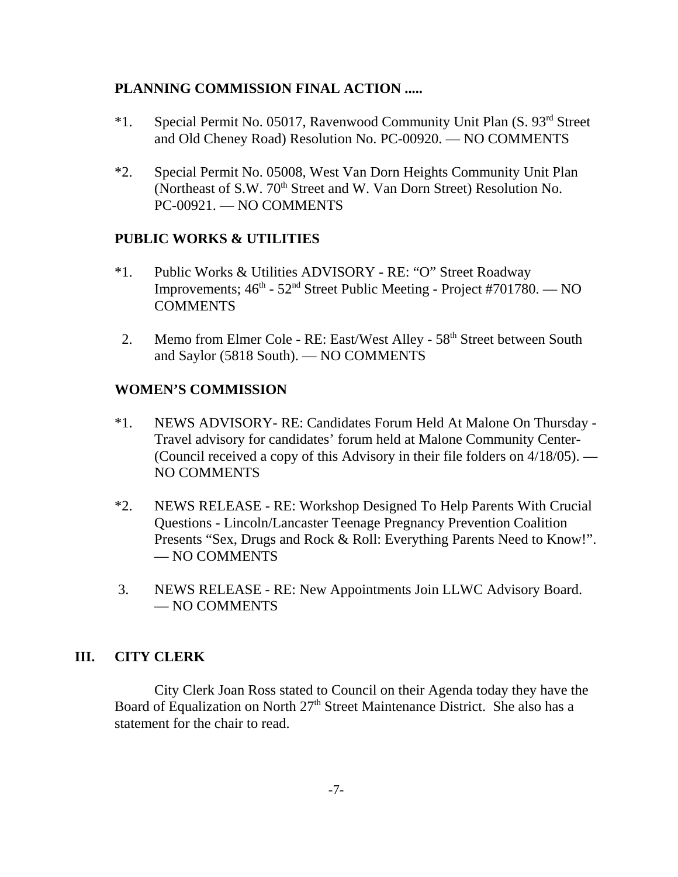## **PLANNING COMMISSION FINAL ACTION .....**

- \*1. Special Permit No. 05017, Ravenwood Community Unit Plan (S. 93rd Street and Old Cheney Road) Resolution No. PC-00920. — NO COMMENTS
- \*2. Special Permit No. 05008, West Van Dorn Heights Community Unit Plan (Northeast of S.W. 70<sup>th</sup> Street and W. Van Dorn Street) Resolution No. PC-00921. — NO COMMENTS

### **PUBLIC WORKS & UTILITIES**

- \*1. Public Works & Utilities ADVISORY RE: "O" Street Roadway Improvements;  $46^{\text{th}}$  -  $52^{\text{nd}}$  Street Public Meeting - Project #701780. — NO **COMMENTS**
- 2. Memo from Elmer Cole RE: East/West Alley 58<sup>th</sup> Street between South and Saylor (5818 South). — NO COMMENTS

### **WOMEN'S COMMISSION**

- \*1. NEWS ADVISORY- RE: Candidates Forum Held At Malone On Thursday Travel advisory for candidates' forum held at Malone Community Center- (Council received a copy of this Advisory in their file folders on 4/18/05). — NO COMMENTS
- \*2. NEWS RELEASE RE: Workshop Designed To Help Parents With Crucial Questions - Lincoln/Lancaster Teenage Pregnancy Prevention Coalition Presents "Sex, Drugs and Rock & Roll: Everything Parents Need to Know!". — NO COMMENTS
- 3. NEWS RELEASE RE: New Appointments Join LLWC Advisory Board. — NO COMMENTS

## **III. CITY CLERK**

City Clerk Joan Ross stated to Council on their Agenda today they have the Board of Equalization on North 27<sup>th</sup> Street Maintenance District. She also has a statement for the chair to read.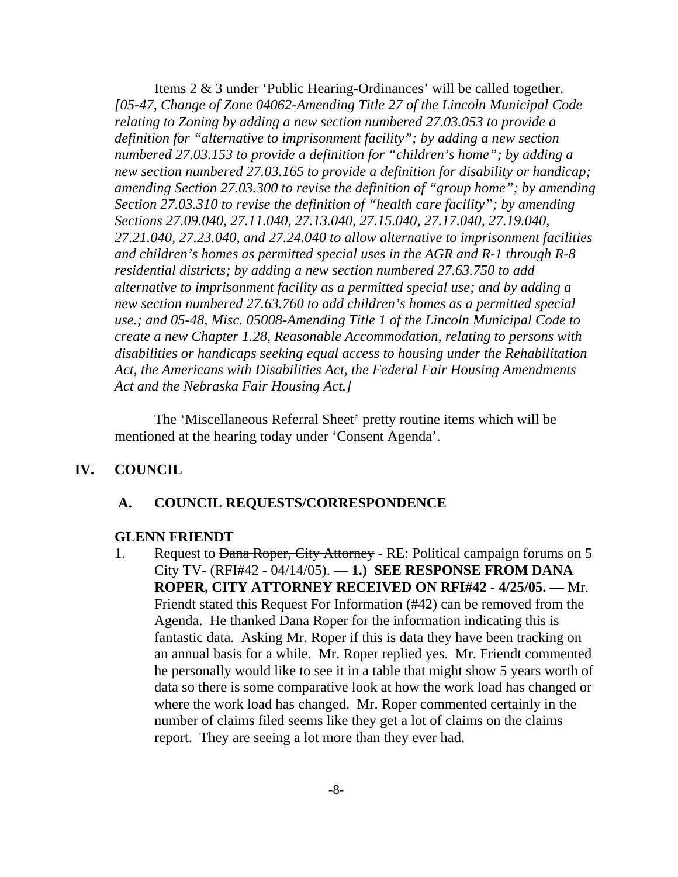Items 2 & 3 under 'Public Hearing-Ordinances' will be called together. *[05-47, Change of Zone 04062-Amending Title 27 of the Lincoln Municipal Code relating to Zoning by adding a new section numbered 27.03.053 to provide a definition for "alternative to imprisonment facility"; by adding a new section numbered 27.03.153 to provide a definition for "children's home"; by adding a new section numbered 27.03.165 to provide a definition for disability or handicap; amending Section 27.03.300 to revise the definition of "group home"; by amending Section 27.03.310 to revise the definition of "health care facility"; by amending Sections 27.09.040, 27.11.040, 27.13.040, 27.15.040, 27.17.040, 27.19.040, 27.21.040, 27.23.040, and 27.24.040 to allow alternative to imprisonment facilities and children's homes as permitted special uses in the AGR and R-1 through R-8 residential districts; by adding a new section numbered 27.63.750 to add alternative to imprisonment facility as a permitted special use; and by adding a new section numbered 27.63.760 to add children's homes as a permitted special use.; and 05-48, Misc. 05008-Amending Title 1 of the Lincoln Municipal Code to create a new Chapter 1.28, Reasonable Accommodation, relating to persons with disabilities or handicaps seeking equal access to housing under the Rehabilitation Act, the Americans with Disabilities Act, the Federal Fair Housing Amendments Act and the Nebraska Fair Housing Act.]* 

The 'Miscellaneous Referral Sheet' pretty routine items which will be mentioned at the hearing today under 'Consent Agenda'.

### **IV. COUNCIL**

#### **A. COUNCIL REQUESTS/CORRESPONDENCE**

#### **GLENN FRIENDT**

1. Request to Dana Roper, City Attorney - RE: Political campaign forums on 5 City TV- (RFI#42 - 04/14/05). — **1.) SEE RESPONSE FROM DANA ROPER, CITY ATTORNEY RECEIVED ON RFI#42 - 4/25/05. —** Mr. Friendt stated this Request For Information (#42) can be removed from the Agenda. He thanked Dana Roper for the information indicating this is fantastic data. Asking Mr. Roper if this is data they have been tracking on an annual basis for a while. Mr. Roper replied yes. Mr. Friendt commented he personally would like to see it in a table that might show 5 years worth of data so there is some comparative look at how the work load has changed or where the work load has changed. Mr. Roper commented certainly in the number of claims filed seems like they get a lot of claims on the claims report. They are seeing a lot more than they ever had.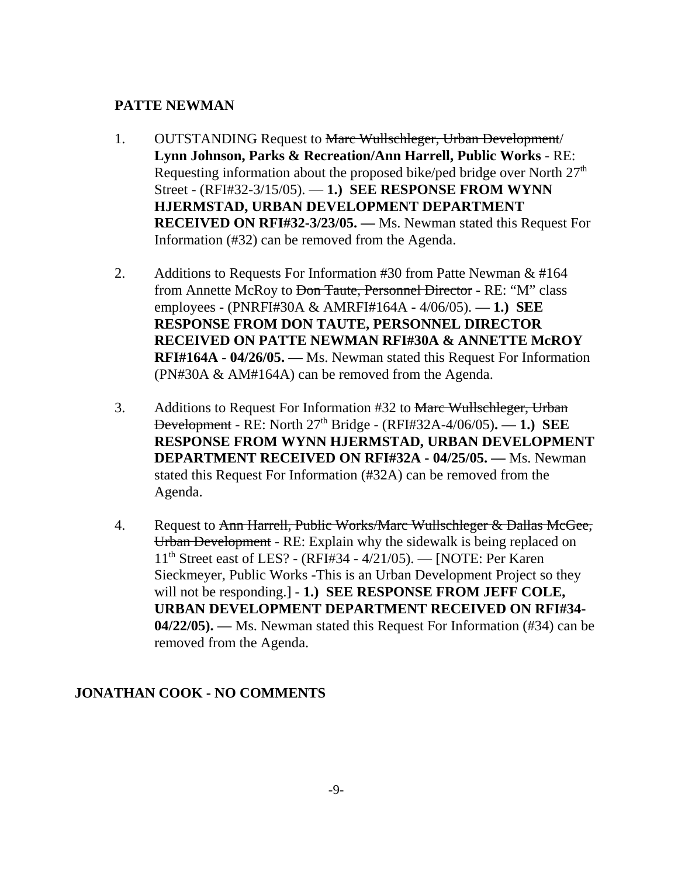## **PATTE NEWMAN**

- 1. OUTSTANDING Request to Marc Wullschleger, Urban Development/ **Lynn Johnson, Parks & Recreation/Ann Harrell, Public Works** - RE: Requesting information about the proposed bike/ped bridge over North  $27<sup>th</sup>$ Street - (RFI#32-3/15/05). — **1.) SEE RESPONSE FROM WYNN HJERMSTAD, URBAN DEVELOPMENT DEPARTMENT RECEIVED ON RFI#32-3/23/05. —** Ms. Newman stated this Request For Information (#32) can be removed from the Agenda.
- 2. Additions to Requests For Information #30 from Patte Newman & #164 from Annette McRoy to <del>Don Taute, Personnel Director</del> - RE: "M" class employees - (PNRFI#30A & AMRFI#164A - 4/06/05). — **1.) SEE RESPONSE FROM DON TAUTE, PERSONNEL DIRECTOR RECEIVED ON PATTE NEWMAN RFI#30A & ANNETTE McROY RFI#164A - 04/26/05. —** Ms. Newman stated this Request For Information (PN#30A & AM#164A) can be removed from the Agenda.
- 3. Additions to Request For Information #32 to Marc Wullschleger, Urban Development - RE: North 27th Bridge - (RFI#32A-4/06/05)**. — 1.) SEE RESPONSE FROM WYNN HJERMSTAD, URBAN DEVELOPMENT DEPARTMENT RECEIVED ON RFI#32A - 04/25/05. —** Ms. Newman stated this Request For Information (#32A) can be removed from the Agenda.
- 4. Request to Ann Harrell, Public Works/Marc Wullschleger & Dallas McGee, Urban Development - RE: Explain why the sidewalk is being replaced on 11th Street east of LES? - (RFI#34 - 4/21/05). — [NOTE: Per Karen Sieckmeyer, Public Works -This is an Urban Development Project so they will not be responding.] - **1.) SEE RESPONSE FROM JEFF COLE, URBAN DEVELOPMENT DEPARTMENT RECEIVED ON RFI#34- 04/22/05). —** Ms. Newman stated this Request For Information (#34) can be removed from the Agenda.

## **JONATHAN COOK - NO COMMENTS**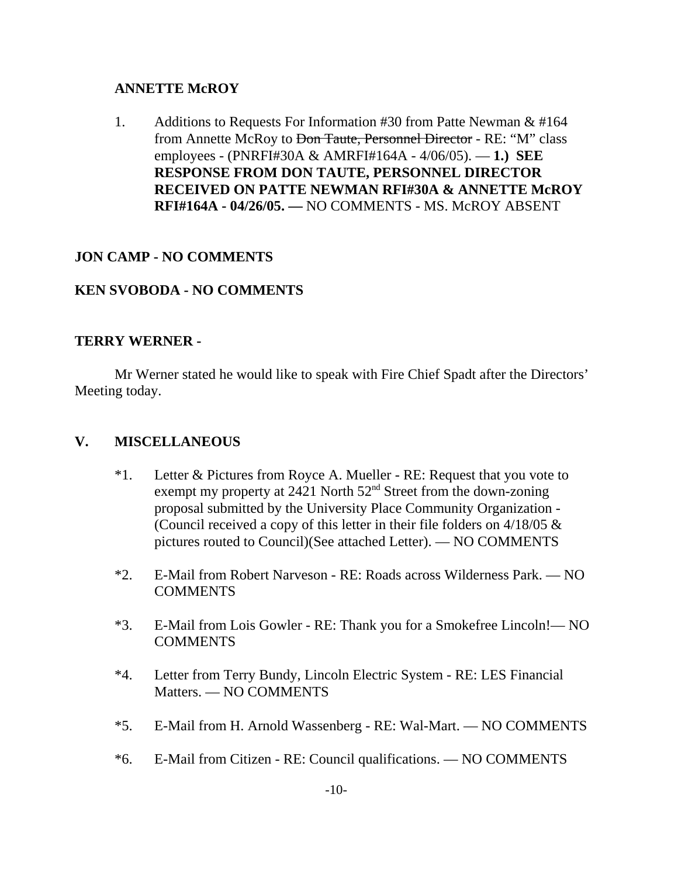### **ANNETTE McROY**

1. Additions to Requests For Information #30 from Patte Newman & #164 from Annette McRoy to <del>Don Taute, Personnel Director</del> - RE: "M" class employees - (PNRFI#30A & AMRFI#164A - 4/06/05). — **1.) SEE RESPONSE FROM DON TAUTE, PERSONNEL DIRECTOR RECEIVED ON PATTE NEWMAN RFI#30A & ANNETTE McROY RFI#164A - 04/26/05. —** NO COMMENTS - MS. McROY ABSENT

## **JON CAMP - NO COMMENTS**

# **KEN SVOBODA - NO COMMENTS**

### **TERRY WERNER -**

Mr Werner stated he would like to speak with Fire Chief Spadt after the Directors' Meeting today.

## **V. MISCELLANEOUS**

- \*1. Letter & Pictures from Royce A. Mueller RE: Request that you vote to exempt my property at 2421 North 52<sup>nd</sup> Street from the down-zoning proposal submitted by the University Place Community Organization - (Council received a copy of this letter in their file folders on 4/18/05 & pictures routed to Council)(See attached Letter). — NO COMMENTS
- \*2. E-Mail from Robert Narveson RE: Roads across Wilderness Park. NO **COMMENTS**
- \*3. E-Mail from Lois Gowler RE: Thank you for a Smokefree Lincoln!— NO **COMMENTS**
- \*4. Letter from Terry Bundy, Lincoln Electric System RE: LES Financial Matters. — NO COMMENTS
- \*5. E-Mail from H. Arnold Wassenberg RE: Wal-Mart. NO COMMENTS
- \*6. E-Mail from Citizen RE: Council qualifications. NO COMMENTS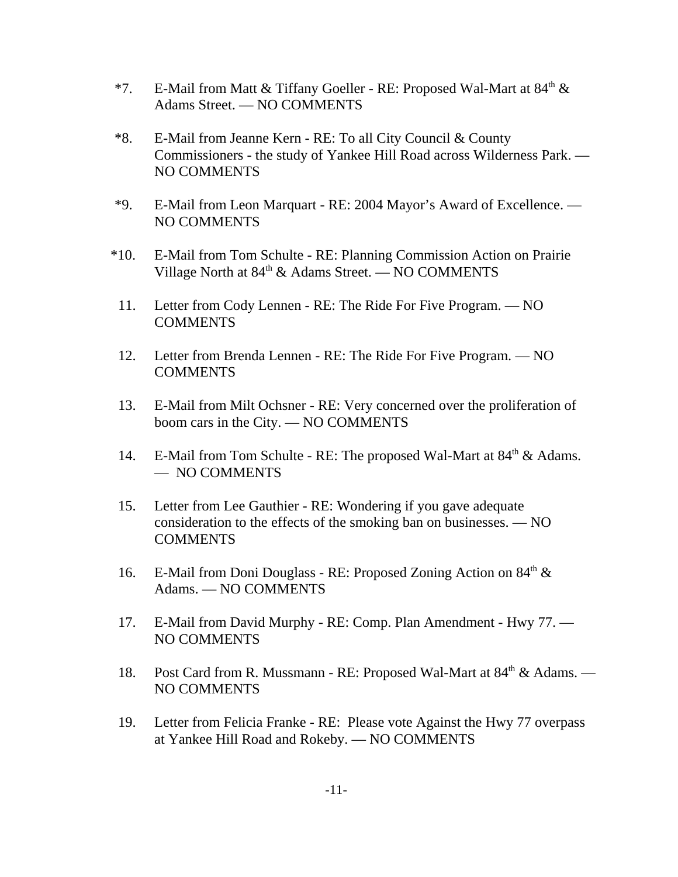- \*7. E-Mail from Matt & Tiffany Goeller RE: Proposed Wal-Mart at  $84<sup>th</sup>$  & Adams Street. — NO COMMENTS
- \*8. E-Mail from Jeanne Kern RE: To all City Council & County Commissioners - the study of Yankee Hill Road across Wilderness Park. — NO COMMENTS
- \*9. E-Mail from Leon Marquart RE: 2004 Mayor's Award of Excellence. NO COMMENTS
- \*10. E-Mail from Tom Schulte RE: Planning Commission Action on Prairie Village North at  $84<sup>th</sup>$  & Adams Street. — NO COMMENTS
- 11. Letter from Cody Lennen RE: The Ride For Five Program. NO **COMMENTS**
- 12. Letter from Brenda Lennen RE: The Ride For Five Program. NO **COMMENTS**
- 13. E-Mail from Milt Ochsner RE: Very concerned over the proliferation of boom cars in the City. — NO COMMENTS
- 14. E-Mail from Tom Schulte RE: The proposed Wal-Mart at  $84<sup>th</sup>$  & Adams. — NO COMMENTS
- 15. Letter from Lee Gauthier RE: Wondering if you gave adequate consideration to the effects of the smoking ban on businesses. — NO **COMMENTS**
- 16. E-Mail from Doni Douglass RE: Proposed Zoning Action on 84<sup>th</sup> & Adams. — NO COMMENTS
- 17. E-Mail from David Murphy RE: Comp. Plan Amendment Hwy 77. NO COMMENTS
- 18. Post Card from R. Mussmann RE: Proposed Wal-Mart at 84<sup>th</sup> & Adams. NO COMMENTS
- 19. Letter from Felicia Franke RE: Please vote Against the Hwy 77 overpass at Yankee Hill Road and Rokeby. — NO COMMENTS